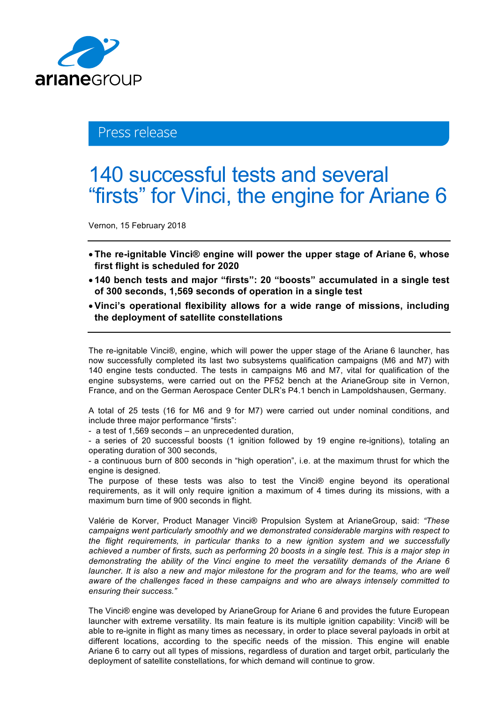

## Press release

## 140 successful tests and several "firsts" for Vinci, the engine for Ariane 6

Vernon, 15 February 2018

- **The re-ignitable Vinci® engine will power the upper stage of Ariane 6, whose first flight is scheduled for 2020**
- **140 bench tests and major "firsts": 20 "boosts" accumulated in a single test of 300 seconds, 1,569 seconds of operation in a single test**
- **Vinci's operational flexibility allows for a wide range of missions, including the deployment of satellite constellations**

The re-ignitable Vinci®, engine, which will power the upper stage of the Ariane 6 launcher, has now successfully completed its last two subsystems qualification campaigns (M6 and M7) with 140 engine tests conducted. The tests in campaigns M6 and M7, vital for qualification of the engine subsystems, were carried out on the PF52 bench at the ArianeGroup site in Vernon, France, and on the German Aerospace Center DLR's P4.1 bench in Lampoldshausen, Germany.

A total of 25 tests (16 for M6 and 9 for M7) were carried out under nominal conditions, and include three major performance "firsts":

- a test of 1,569 seconds – an unprecedented duration,

- a series of 20 successful boosts (1 ignition followed by 19 engine re-ignitions), totaling an operating duration of 300 seconds,

- a continuous burn of 800 seconds in "high operation", i.e. at the maximum thrust for which the engine is designed.

The purpose of these tests was also to test the Vinci® engine beyond its operational requirements, as it will only require ignition a maximum of 4 times during its missions, with a maximum burn time of 900 seconds in flight.

Valérie de Korver, Product Manager Vinci® Propulsion System at ArianeGroup, said: *"These campaigns went particularly smoothly and we demonstrated considerable margins with respect to the flight requirements, in particular thanks to a new ignition system and we successfully achieved a number of firsts, such as performing 20 boosts in a single test. This is a major step in demonstrating the ability of the Vinci engine to meet the versatility demands of the Ariane 6 launcher. It is also a new and major milestone for the program and for the teams, who are well aware of the challenges faced in these campaigns and who are always intensely committed to ensuring their success."*

The Vinci® engine was developed by ArianeGroup for Ariane 6 and provides the future European launcher with extreme versatility. Its main feature is its multiple ignition capability: Vinci® will be able to re-ignite in flight as many times as necessary, in order to place several payloads in orbit at different locations, according to the specific needs of the mission. This engine will enable Ariane 6 to carry out all types of missions, regardless of duration and target orbit, particularly the deployment of satellite constellations, for which demand will continue to grow.